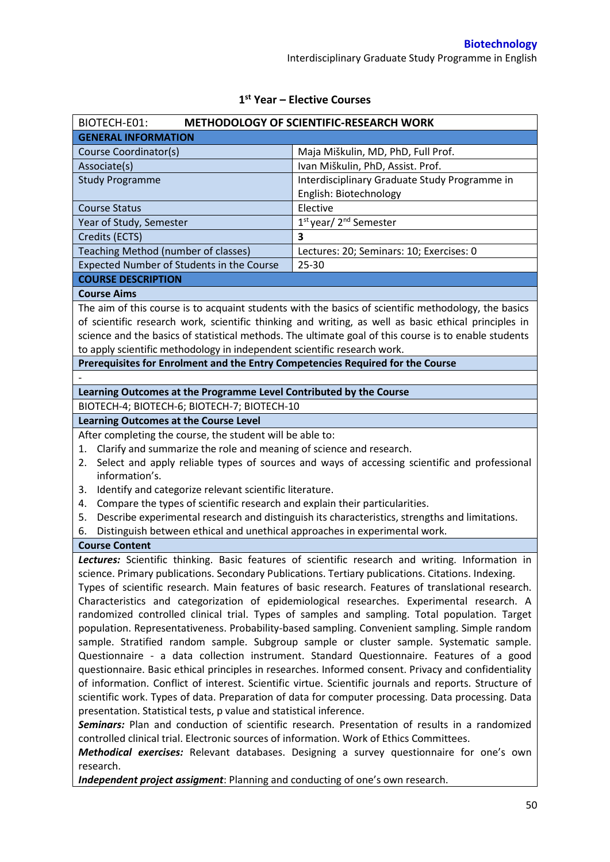| BIOTECH-E01:                                                                                                                                                                                     | <b>METHODOLOGY OF SCIENTIFIC-RESEARCH WORK</b>                                                        |  |  |
|--------------------------------------------------------------------------------------------------------------------------------------------------------------------------------------------------|-------------------------------------------------------------------------------------------------------|--|--|
| <b>GENERAL INFORMATION</b>                                                                                                                                                                       |                                                                                                       |  |  |
| Course Coordinator(s)                                                                                                                                                                            | Maja Miškulin, MD, PhD, Full Prof.                                                                    |  |  |
| Associate(s)                                                                                                                                                                                     | Ivan Miškulin, PhD, Assist. Prof.                                                                     |  |  |
| <b>Study Programme</b>                                                                                                                                                                           | Interdisciplinary Graduate Study Programme in                                                         |  |  |
|                                                                                                                                                                                                  | English: Biotechnology                                                                                |  |  |
| <b>Course Status</b>                                                                                                                                                                             | Elective                                                                                              |  |  |
| Year of Study, Semester                                                                                                                                                                          | 1 <sup>st</sup> year/2 <sup>nd</sup> Semester                                                         |  |  |
| Credits (ECTS)                                                                                                                                                                                   | $\overline{\mathbf{3}}$                                                                               |  |  |
| Teaching Method (number of classes)                                                                                                                                                              | Lectures: 20; Seminars: 10; Exercises: 0                                                              |  |  |
| Expected Number of Students in the Course                                                                                                                                                        | 25-30                                                                                                 |  |  |
| <b>COURSE DESCRIPTION</b>                                                                                                                                                                        |                                                                                                       |  |  |
| <b>Course Aims</b>                                                                                                                                                                               |                                                                                                       |  |  |
|                                                                                                                                                                                                  | The aim of this course is to acquaint students with the basics of scientific methodology, the basics  |  |  |
|                                                                                                                                                                                                  | of scientific research work, scientific thinking and writing, as well as basic ethical principles in  |  |  |
|                                                                                                                                                                                                  | science and the basics of statistical methods. The ultimate goal of this course is to enable students |  |  |
| to apply scientific methodology in independent scientific research work.                                                                                                                         |                                                                                                       |  |  |
| Prerequisites for Enrolment and the Entry Competencies Required for the Course                                                                                                                   |                                                                                                       |  |  |
|                                                                                                                                                                                                  |                                                                                                       |  |  |
| Learning Outcomes at the Programme Level Contributed by the Course                                                                                                                               |                                                                                                       |  |  |
| BIOTECH-4; BIOTECH-6; BIOTECH-7; BIOTECH-10                                                                                                                                                      |                                                                                                       |  |  |
| <b>Learning Outcomes at the Course Level</b>                                                                                                                                                     |                                                                                                       |  |  |
| After completing the course, the student will be able to:                                                                                                                                        |                                                                                                       |  |  |
| Clarify and summarize the role and meaning of science and research.<br>1.                                                                                                                        |                                                                                                       |  |  |
| 2.<br>information's.                                                                                                                                                                             | Select and apply reliable types of sources and ways of accessing scientific and professional          |  |  |
| Identify and categorize relevant scientific literature.<br>3.                                                                                                                                    |                                                                                                       |  |  |
| Compare the types of scientific research and explain their particularities.<br>4.                                                                                                                |                                                                                                       |  |  |
| 5.                                                                                                                                                                                               | Describe experimental research and distinguish its characteristics, strengths and limitations.        |  |  |
| Distinguish between ethical and unethical approaches in experimental work.<br>6.                                                                                                                 |                                                                                                       |  |  |
| <b>Course Content</b>                                                                                                                                                                            |                                                                                                       |  |  |
|                                                                                                                                                                                                  | Lectures: Scientific thinking. Basic features of scientific research and writing. Information in      |  |  |
|                                                                                                                                                                                                  | science. Primary publications. Secondary Publications. Tertiary publications. Citations. Indexing.    |  |  |
|                                                                                                                                                                                                  | Types of scientific research. Main features of basic research. Features of translational research.    |  |  |
|                                                                                                                                                                                                  | Characteristics and categorization of epidemiological researches. Experimental research. A            |  |  |
|                                                                                                                                                                                                  | randomized controlled clinical trial. Types of samples and sampling. Total population. Target         |  |  |
|                                                                                                                                                                                                  | population. Representativeness. Probability-based sampling. Convenient sampling. Simple random        |  |  |
|                                                                                                                                                                                                  | sample. Stratified random sample. Subgroup sample or cluster sample. Systematic sample.               |  |  |
|                                                                                                                                                                                                  |                                                                                                       |  |  |
| Questionnaire - a data collection instrument. Standard Questionnaire. Features of a good<br>questionnaire. Basic ethical principles in researches. Informed consent. Privacy and confidentiality |                                                                                                       |  |  |
| of information. Conflict of interest. Scientific virtue. Scientific journals and reports. Structure of                                                                                           |                                                                                                       |  |  |
| scientific work. Types of data. Preparation of data for computer processing. Data processing. Data                                                                                               |                                                                                                       |  |  |
| presentation. Statistical tests, p value and statistical inference.                                                                                                                              |                                                                                                       |  |  |
| Seminars: Plan and conduction of scientific research. Presentation of results in a randomized                                                                                                    |                                                                                                       |  |  |
| controlled clinical trial. Electronic sources of information. Work of Ethics Committees.                                                                                                         |                                                                                                       |  |  |
| Methodical exercises: Relevant databases. Designing a survey questionnaire for one's own                                                                                                         |                                                                                                       |  |  |
| research.                                                                                                                                                                                        |                                                                                                       |  |  |
| Independent project assigment: Planning and conducting of one's own research.                                                                                                                    |                                                                                                       |  |  |
|                                                                                                                                                                                                  |                                                                                                       |  |  |

# **1 st Year – Elective Courses**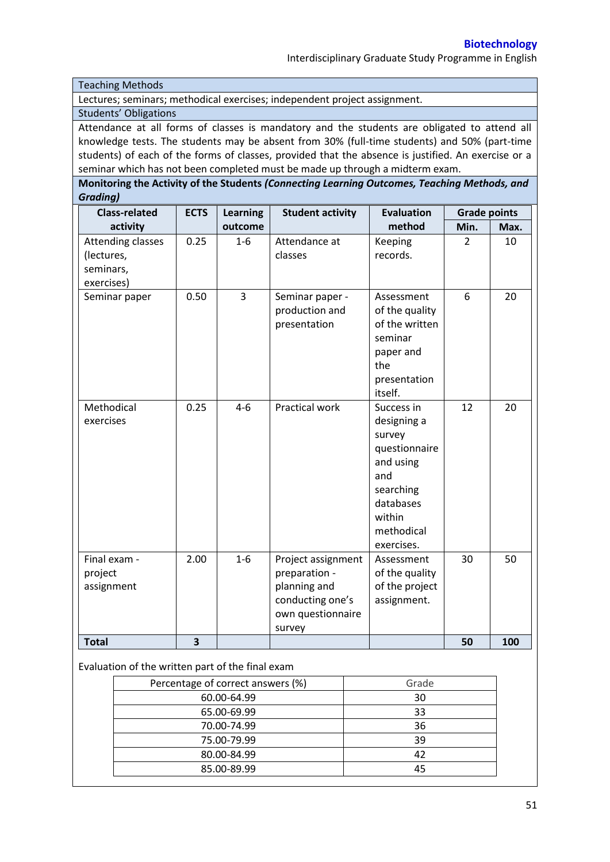Interdisciplinary Graduate Study Programme in English

Teaching Methods

Lectures; seminars; methodical exercises; independent project assignment.

#### Students' Obligations

Attendance at all forms of classes is mandatory and the students are obligated to attend all knowledge tests. The students may be absent from 30% (full-time students) and 50% (part-time students) of each of the forms of classes, provided that the absence is justified. An exercise or a seminar which has not been completed must be made up through a midterm exam.

**Monitoring the Activity of the Students** *(Connecting Learning Outcomes, Teaching Methods, and Grading)*

| <b>Class-related</b>                                              | <b>ECTS</b> | <b>Learning</b> | <b>Student activity</b>                                                                                | <b>Evaluation</b>                                                                                                                        | <b>Grade points</b> |      |
|-------------------------------------------------------------------|-------------|-----------------|--------------------------------------------------------------------------------------------------------|------------------------------------------------------------------------------------------------------------------------------------------|---------------------|------|
| activity                                                          |             | outcome         |                                                                                                        | method                                                                                                                                   | Min.                | Max. |
| <b>Attending classes</b><br>(lectures,<br>seminars,<br>exercises) | 0.25        | $1-6$           | Attendance at<br>classes                                                                               | Keeping<br>records.                                                                                                                      | 2                   | 10   |
| Seminar paper                                                     | 0.50        | 3               | Seminar paper -<br>production and<br>presentation                                                      | Assessment<br>of the quality<br>of the written<br>seminar<br>paper and<br>the<br>presentation<br>itself.                                 | 6                   | 20   |
| Methodical<br>exercises                                           | 0.25        | $4 - 6$         | Practical work                                                                                         | Success in<br>designing a<br>survey<br>questionnaire<br>and using<br>and<br>searching<br>databases<br>within<br>methodical<br>exercises. | 12                  | 20   |
| Final exam -<br>project<br>assignment                             | 2.00        | $1-6$           | Project assignment<br>preparation -<br>planning and<br>conducting one's<br>own questionnaire<br>survey | Assessment<br>of the quality<br>of the project<br>assignment.                                                                            | 30                  | 50   |
| <b>Total</b>                                                      | 3           |                 |                                                                                                        |                                                                                                                                          | 50                  | 100  |

### Evaluation of the written part of the final exam

| Percentage of correct answers (%) | Grade |
|-----------------------------------|-------|
| 60.00-64.99                       | 30    |
| 65.00-69.99                       | 33    |
| 70.00-74.99                       | 36    |
| 75.00-79.99                       | 39    |
| 80.00-84.99                       | 42    |
| 85.00-89.99                       | 45    |